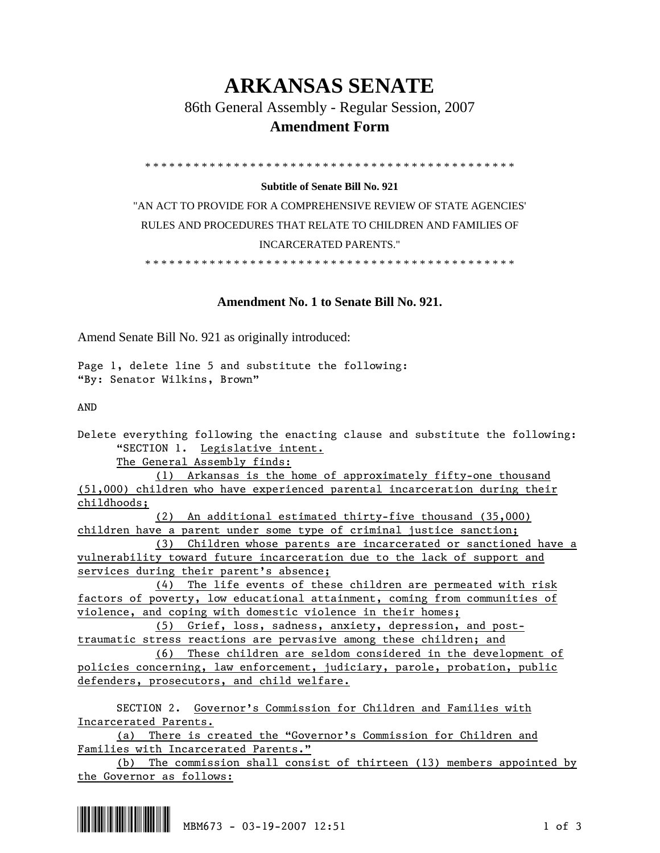## **ARKANSAS SENATE**

86th General Assembly - Regular Session, 2007

## **Amendment Form**

\* \* \* \* \* \* \* \* \* \* \* \* \* \* \* \* \* \* \* \* \* \* \* \* \* \* \* \* \* \* \* \* \* \* \* \* \* \* \* \* \* \* \* \* \* \*

## **Subtitle of Senate Bill No. 921**

"AN ACT TO PROVIDE FOR A COMPREHENSIVE REVIEW OF STATE AGENCIES' RULES AND PROCEDURES THAT RELATE TO CHILDREN AND FAMILIES OF INCARCERATED PARENTS."

\* \* \* \* \* \* \* \* \* \* \* \* \* \* \* \* \* \* \* \* \* \* \* \* \* \* \* \* \* \* \* \* \* \* \* \* \* \* \* \* \* \* \* \* \* \*

## **Amendment No. 1 to Senate Bill No. 921.**

Amend Senate Bill No. 921 as originally introduced:

Page 1, delete line 5 and substitute the following: "By: Senator Wilkins, Brown"

AND

Delete everything following the enacting clause and substitute the following: "SECTION 1. Legislative intent.

The General Assembly finds:

 (1) Arkansas is the home of approximately fifty-one thousand (51,000) children who have experienced parental incarceration during their childhoods;

 (2) An additional estimated thirty-five thousand (35,000) children have a parent under some type of criminal justice sanction;

 (3) Children whose parents are incarcerated or sanctioned have a vulnerability toward future incarceration due to the lack of support and services during their parent's absence;

 (4) The life events of these children are permeated with risk factors of poverty, low educational attainment, coming from communities of violence, and coping with domestic violence in their homes;

 (5) Grief, loss, sadness, anxiety, depression, and posttraumatic stress reactions are pervasive among these children; and

 (6) These children are seldom considered in the development of policies concerning, law enforcement, judiciary, parole, probation, public defenders, prosecutors, and child welfare.

 SECTION 2. Governor's Commission for Children and Families with Incarcerated Parents.

 (a) There is created the "Governor's Commission for Children and Families with Incarcerated Parents."

 (b) The commission shall consist of thirteen (13) members appointed by the Governor as follows:

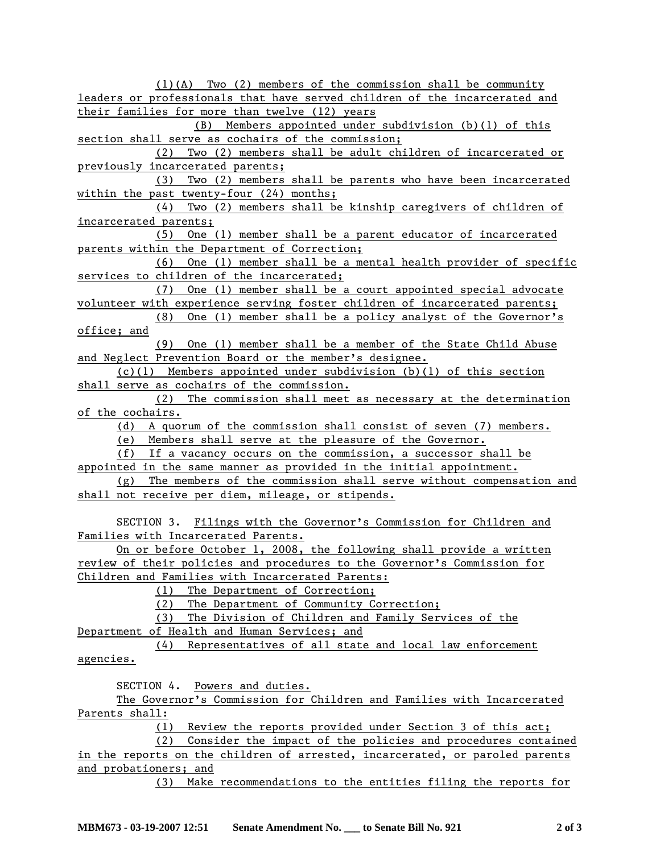(1)(A) Two (2) members of the commission shall be community leaders or professionals that have served children of the incarcerated and their families for more than twelve (12) years

 (B) Members appointed under subdivision (b)(1) of this section shall serve as cochairs of the commission;

 (2) Two (2) members shall be adult children of incarcerated or previously incarcerated parents;

 (3) Two (2) members shall be parents who have been incarcerated within the past twenty-four (24) months;

 (4) Two (2) members shall be kinship caregivers of children of incarcerated parents;

 (5) One (1) member shall be a parent educator of incarcerated parents within the Department of Correction;

 (6) One (1) member shall be a mental health provider of specific services to children of the incarcerated;

 (7) One (1) member shall be a court appointed special advocate volunteer with experience serving foster children of incarcerated parents;

 (8) One (1) member shall be a policy analyst of the Governor's office; and

 (9) One (1) member shall be a member of the State Child Abuse and Neglect Prevention Board or the member's designee.

 (c)(1) Members appointed under subdivision (b)(1) of this section shall serve as cochairs of the commission.

 (2) The commission shall meet as necessary at the determination of the cochairs.

(d) A quorum of the commission shall consist of seven (7) members.

(e) Members shall serve at the pleasure of the Governor.

(f) If a vacancy occurs on the commission, a successor shall be

appointed in the same manner as provided in the initial appointment.

 (g) The members of the commission shall serve without compensation and shall not receive per diem, mileage, or stipends.

 SECTION 3. Filings with the Governor's Commission for Children and Families with Incarcerated Parents.

 On or before October 1, 2008, the following shall provide a written review of their policies and procedures to the Governor's Commission for Children and Families with Incarcerated Parents:

(1) The Department of Correction;

(2) The Department of Community Correction;

(3) The Division of Children and Family Services of the

Department of Health and Human Services; and

 (4) Representatives of all state and local law enforcement agencies.

SECTION 4. Powers and duties.

 The Governor's Commission for Children and Families with Incarcerated Parents shall:

(1) Review the reports provided under Section 3 of this act;

 (2) Consider the impact of the policies and procedures contained in the reports on the children of arrested, incarcerated, or paroled parents and probationers; and

(3) Make recommendations to the entities filing the reports for